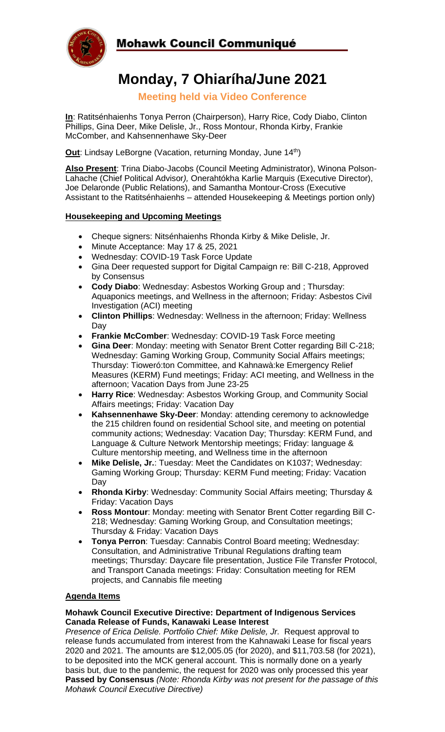

# Mohawk Council Communiqué

# **Monday, 7 Ohiaríha/June 2021**

**Meeting held via Video Conference**

**In**: Ratitsénhaienhs Tonya Perron (Chairperson), Harry Rice, Cody Diabo, Clinton Phillips, Gina Deer, Mike Delisle, Jr., Ross Montour, Rhonda Kirby, Frankie McComber, and Kahsennenhawe Sky-Deer

**Out:** Lindsay LeBorgne (Vacation, returning Monday, June 14<sup>th</sup>)

**Also Present**: Trina Diabo-Jacobs (Council Meeting Administrator), Winona Polson-Lahache (Chief Political Advisor*),* Onerahtókha Karlie Marquis (Executive Director), Joe Delaronde (Public Relations), and Samantha Montour-Cross (Executive Assistant to the Ratitsénhaienhs – attended Housekeeping & Meetings portion only)

# **Housekeeping and Upcoming Meetings**

- Cheque signers: Nitsénhaienhs Rhonda Kirby & Mike Delisle, Jr.
- Minute Acceptance: May 17 & 25, 2021
- Wednesday: COVID-19 Task Force Update
- Gina Deer requested support for Digital Campaign re: Bill C-218, Approved by Consensus
- **Cody Diabo**: Wednesday: Asbestos Working Group and ; Thursday: Aquaponics meetings, and Wellness in the afternoon; Friday: Asbestos Civil Investigation (ACI) meeting
- **Clinton Phillips**: Wednesday: Wellness in the afternoon; Friday: Wellness Day
- **Frankie McComber**: Wednesday: COVID-19 Task Force meeting
- **Gina Deer**: Monday: meeting with Senator Brent Cotter regarding Bill C-218; Wednesday: Gaming Working Group, Community Social Affairs meetings; Thursday: Tioweró:ton Committee, and Kahnawà:ke Emergency Relief Measures (KERM) Fund meetings; Friday: ACI meeting, and Wellness in the afternoon; Vacation Days from June 23-25
- **Harry Rice**: Wednesday: Asbestos Working Group, and Community Social Affairs meetings; Friday: Vacation Day
- **Kahsennenhawe Sky-Deer**: Monday: attending ceremony to acknowledge the 215 children found on residential School site, and meeting on potential community actions; Wednesday: Vacation Day; Thursday: KERM Fund, and Language & Culture Network Mentorship meetings; Friday: language & Culture mentorship meeting, and Wellness time in the afternoon
- **Mike Delisle, Jr.**: Tuesday: Meet the Candidates on K1037; Wednesday: Gaming Working Group; Thursday: KERM Fund meeting; Friday: Vacation Day
- **Rhonda Kirby**: Wednesday: Community Social Affairs meeting; Thursday & Friday: Vacation Days
- **Ross Montour**: Monday: meeting with Senator Brent Cotter regarding Bill C-218; Wednesday: Gaming Working Group, and Consultation meetings; Thursday & Friday: Vacation Days
- **Tonya Perron**: Tuesday: Cannabis Control Board meeting; Wednesday: Consultation, and Administrative Tribunal Regulations drafting team meetings; Thursday: Daycare file presentation, Justice File Transfer Protocol, and Transport Canada meetings: Friday: Consultation meeting for REM projects, and Cannabis file meeting

# **Agenda Items**

#### **Mohawk Council Executive Directive: Department of Indigenous Services Canada Release of Funds, Kanawaki Lease Interest**

*Presence of Erica Delisle. Portfolio Chief: Mike Delisle, Jr.* Request approval to release funds accumulated from interest from the Kahnawaki Lease for fiscal years 2020 and 2021. The amounts are \$12,005.05 (for 2020), and \$11,703.58 (for 2021), to be deposited into the MCK general account. This is normally done on a yearly basis but, due to the pandemic, the request for 2020 was only processed this year **Passed by Consensus** *(Note: Rhonda Kirby was not present for the passage of this Mohawk Council Executive Directive)*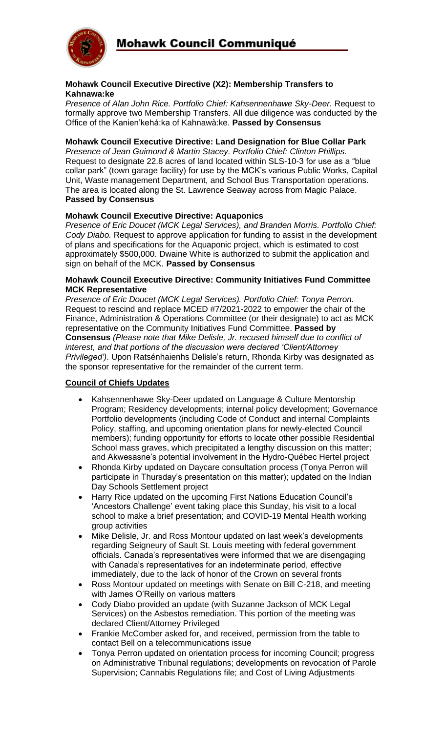

#### **Mohawk Council Executive Directive (X2): Membership Transfers to Kahnawa:ke**

*Presence of Alan John Rice. Portfolio Chief: Kahsennenhawe Sky-Deer.* Request to formally approve two Membership Transfers. All due diligence was conducted by the Office of the Kanien'kehá:ka of Kahnawà:ke. **Passed by Consensus**

#### **Mohawk Council Executive Directive: Land Designation for Blue Collar Park**

*Presence of Jean Guimond & Martin Stacey. Portfolio Chief: Clinton Phillips.*  Request to designate 22.8 acres of land located within SLS-10-3 for use as a "blue collar park" (town garage facility) for use by the MCK's various Public Works, Capital Unit, Waste management Department, and School Bus Transportation operations. The area is located along the St. Lawrence Seaway across from Magic Palace. **Passed by Consensus**

#### **Mohawk Council Executive Directive: Aquaponics**

*Presence of Eric Doucet (MCK Legal Services), and Branden Morris. Portfolio Chief: Cody Diabo.* Request to approve application for funding to assist in the development of plans and specifications for the Aquaponic project, which is estimated to cost approximately \$500,000. Dwaine White is authorized to submit the application and sign on behalf of the MCK. **Passed by Consensus**

#### **Mohawk Council Executive Directive: Community Initiatives Fund Committee MCK Representative**

*Presence of Eric Doucet (MCK Legal Services). Portfolio Chief: Tonya Perron.*  Request to rescind and replace MCED #7/2021-2022 to empower the chair of the Finance, Administration & Operations Committee (or their designate) to act as MCK representative on the Community Initiatives Fund Committee. **Passed by Consensus** *(Please note that Mike Delisle, Jr. recused himself due to conflict of interest, and that portions of the discussion were declared 'Client/Attorney Privileged')*. Upon Ratsénhaienhs Delisle's return, Rhonda Kirby was designated as the sponsor representative for the remainder of the current term.

# **Council of Chiefs Updates**

- Kahsennenhawe Sky-Deer updated on Language & Culture Mentorship Program; Residency developments; internal policy development; Governance Portfolio developments (including Code of Conduct and internal Complaints Policy, staffing, and upcoming orientation plans for newly-elected Council members); funding opportunity for efforts to locate other possible Residential School mass graves, which precipitated a lengthy discussion on this matter; and Akwesasne's potential involvement in the Hydro-Québec Hertel project
- Rhonda Kirby updated on Daycare consultation process (Tonya Perron will participate in Thursday's presentation on this matter); updated on the Indian Day Schools Settlement project
- Harry Rice updated on the upcoming First Nations Education Council's 'Ancestors Challenge' event taking place this Sunday, his visit to a local school to make a brief presentation; and COVID-19 Mental Health working group activities
- Mike Delisle, Jr. and Ross Montour updated on last week's developments regarding Seigneury of Sault St. Louis meeting with federal government officials. Canada's representatives were informed that we are disengaging with Canada's representatives for an indeterminate period, effective immediately, due to the lack of honor of the Crown on several fronts
- Ross Montour updated on meetings with Senate on Bill C-218, and meeting with James O'Reilly on various matters
- Cody Diabo provided an update (with Suzanne Jackson of MCK Legal Services) on the Asbestos remediation. This portion of the meeting was declared Client/Attorney Privileged
- Frankie McComber asked for, and received, permission from the table to contact Bell on a telecommunications issue
- Tonya Perron updated on orientation process for incoming Council; progress on Administrative Tribunal regulations; developments on revocation of Parole Supervision; Cannabis Regulations file; and Cost of Living Adjustments